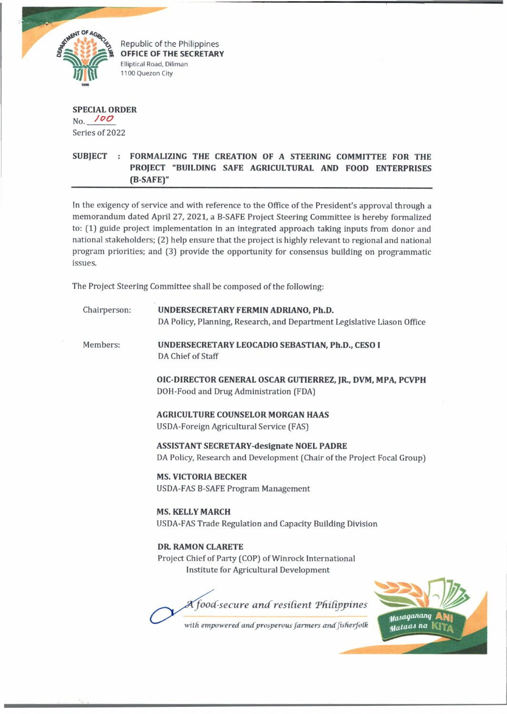

Republic of the Philippines OFFICE OF THE SECRETARY Elliptical Road, Diliman 1100 Quezon City

**SPECIAL ORDER** No. *f 0 0* Series of 2022

# **SUBJECT : FORMALIZING THE CREATION OF A STEERING COMMITTEE FOR THE PROJECT "BUILDING SAFE AGRICULTURAL AND FOOD ENTERPRISES (B-SAFE)"**

In the exigency of service and with reference to the Office of the President's approval through a memorandum dated April 27, 2021, a B-SAFE Project Steering Committee is hereby formalized to: (1) guide project implementation in an integrated approach taking inputs from donor and national stakeholders; (2) help ensure that the project is highly relevant to regional and national program priorities; and (3) provide the opportunity for consensus building on programmatic issues.

The Project Steering Committee shall be composed of the following:

| Chairperson: | UNDERSECRETARY FERMIN ADRIANO, Ph.D.<br>DA Policy, Planning, Research, and Department Legislative Liason Office             |
|--------------|-----------------------------------------------------------------------------------------------------------------------------|
| Members:     | UNDERSECRETARY LEOCADIO SEBASTIAN, Ph.D., CESO I<br>DA Chief of Staff                                                       |
|              | OIC-DIRECTOR GENERAL OSCAR GUTIERREZ, JR., DVM, MPA, PCVPH<br>DOH-Food and Drug Administration (FDA)                        |
|              | <b>AGRICULTURE COUNSELOR MORGAN HAAS</b><br>USDA-Foreign Agricultural Service (FAS)                                         |
|              | <b>ASSISTANT SECRETARY-designate NOEL PADRE</b><br>DA Policy, Research and Development (Chair of the Project Focal Group)   |
|              | <b>MS. VICTORIA BECKER</b><br><b>USDA-FAS B-SAFE Program Management</b>                                                     |
|              | <b>MS. KELLY MARCH</b><br>USDA-FAS Trade Regulation and Capacity Building Division                                          |
|              | <b>DR. RAMON CLARETE</b><br>Project Chief of Party (COP) of Winrock International<br>Institute for Agricultural Development |
|              | Kfood-secure and resilient Philippines<br>y <sub>as</sub> aganang<br>with empowered and prosperous farmers and fisherfolk   |
|              | Mataas na                                                                                                                   |